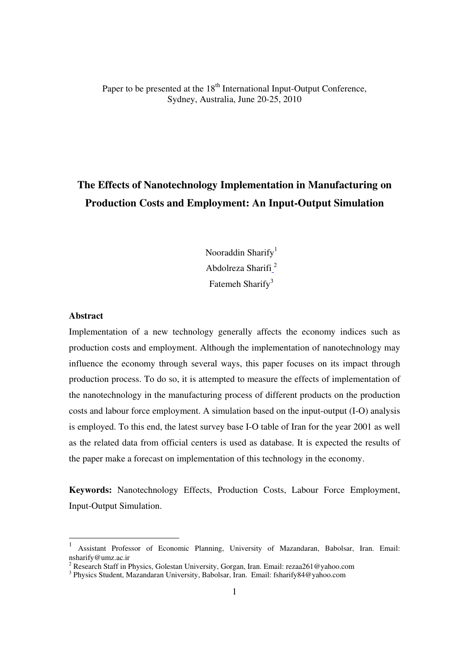Paper to be presented at the 18<sup>th</sup> International Input-Output Conference, Sydney, Australia, June 20-25, 2010

# **The Effects of Nanotechnology Implementation in Manufacturing on Production Costs and Employment: An Input-Output Simulation**

Nooraddin Sharify $<sup>1</sup>$ </sup> Abdolreza Sharifi<sup>2</sup> Fatemeh Sharify<sup>3</sup>

# **Abstract**

l

Implementation of a new technology generally affects the economy indices such as production costs and employment. Although the implementation of nanotechnology may influence the economy through several ways, this paper focuses on its impact through production process. To do so, it is attempted to measure the effects of implementation of the nanotechnology in the manufacturing process of different products on the production costs and labour force employment. A simulation based on the input-output (I-O) analysis is employed. To this end, the latest survey base I-O table of Iran for the year 2001 as well as the related data from official centers is used as database. It is expected the results of the paper make a forecast on implementation of this technology in the economy.

**Keywords:** Nanotechnology Effects, Production Costs, Labour Force Employment, Input-Output Simulation.

<sup>1</sup> Assistant Professor of Economic Planning, University of Mazandaran, Babolsar, Iran. Email: nsharify@umz.ac.ir

<sup>&</sup>lt;sup>2</sup> Research Staff in Physics, Golestan University, Gorgan, Iran. Email: rezaa261@yahoo.com

<sup>&</sup>lt;sup>3</sup> Physics Student, Mazandaran University, Babolsar, Iran. Email: fsharify84@yahoo.com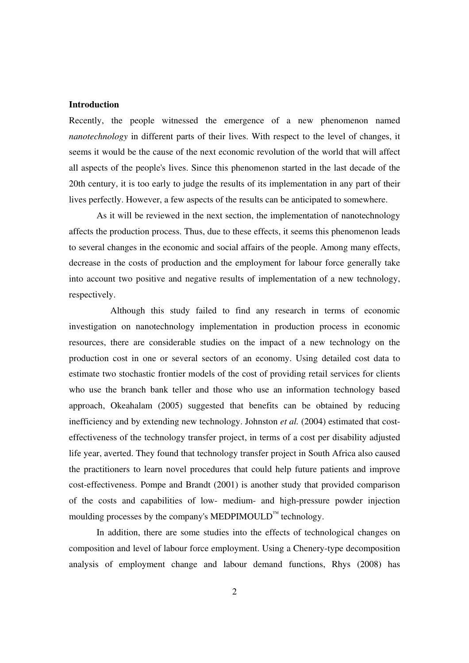# **Introduction**

Recently, the people witnessed the emergence of a new phenomenon named *nanotechnology* in different parts of their lives. With respect to the level of changes, it seems it would be the cause of the next economic revolution of the world that will affect all aspects of the people's lives. Since this phenomenon started in the last decade of the 20th century, it is too early to judge the results of its implementation in any part of their lives perfectly. However, a few aspects of the results can be anticipated to somewhere.

As it will be reviewed in the next section, the implementation of nanotechnology affects the production process. Thus, due to these effects, it seems this phenomenon leads to several changes in the economic and social affairs of the people. Among many effects, decrease in the costs of production and the employment for labour force generally take into account two positive and negative results of implementation of a new technology, respectively.

Although this study failed to find any research in terms of economic investigation on nanotechnology implementation in production process in economic resources, there are considerable studies on the impact of a new technology on the production cost in one or several sectors of an economy. Using detailed cost data to estimate two stochastic frontier models of the cost of providing retail services for clients who use the branch bank teller and those who use an information technology based approach, Okeahalam (2005) suggested that benefits can be obtained by reducing inefficiency and by extending new technology. Johnston *et al.* (2004) estimated that costeffectiveness of the technology transfer project, in terms of a cost per disability adjusted life year, averted. They found that technology transfer project in South Africa also caused the practitioners to learn novel procedures that could help future patients and improve cost-effectiveness. Pompe and Brandt (2001) is another study that provided comparison of the costs and capabilities of low- medium- and high-pressure powder injection moulding processes by the company's MEDPIMOULD<sup>™</sup> technology.

In addition, there are some studies into the effects of technological changes on composition and level of labour force employment. Using a Chenery-type decomposition analysis of employment change and labour demand functions, Rhys (2008) has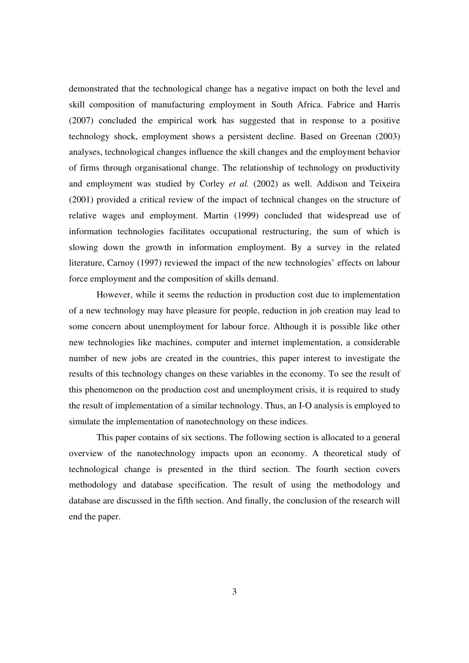demonstrated that the technological change has a negative impact on both the level and skill composition of manufacturing employment in South Africa. Fabrice and Harris (2007) concluded the empirical work has suggested that in response to a positive technology shock, employment shows a persistent decline. Based on Greenan (2003) analyses, technological changes influence the skill changes and the employment behavior of firms through organisational change. The relationship of technology on productivity and employment was studied by Corley *et al.* (2002) as well. Addison and Teixeira (2001) provided a critical review of the impact of technical changes on the structure of relative wages and employment. Martin (1999) concluded that widespread use of information technologies facilitates occupational restructuring, the sum of which is slowing down the growth in information employment. By a survey in the related literature, Carnoy (1997) reviewed the impact of the new technologies' effects on labour force employment and the composition of skills demand.

However, while it seems the reduction in production cost due to implementation of a new technology may have pleasure for people, reduction in job creation may lead to some concern about unemployment for labour force. Although it is possible like other new technologies like machines, computer and internet implementation, a considerable number of new jobs are created in the countries, this paper interest to investigate the results of this technology changes on these variables in the economy. To see the result of this phenomenon on the production cost and unemployment crisis, it is required to study the result of implementation of a similar technology. Thus, an I-O analysis is employed to simulate the implementation of nanotechnology on these indices.

This paper contains of six sections. The following section is allocated to a general overview of the nanotechnology impacts upon an economy. A theoretical study of technological change is presented in the third section. The fourth section covers methodology and database specification. The result of using the methodology and database are discussed in the fifth section. And finally, the conclusion of the research will end the paper.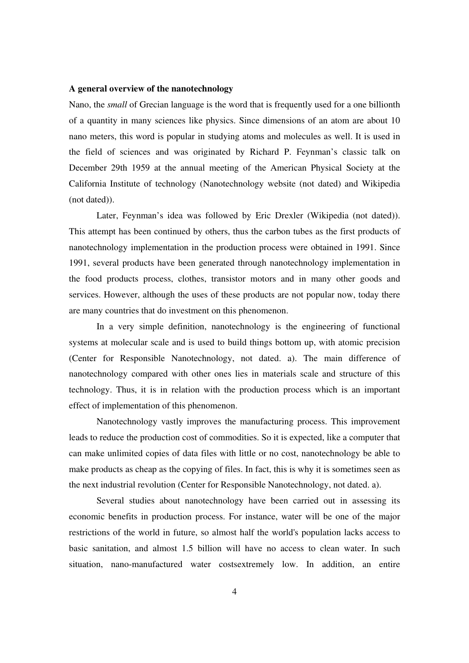### **A general overview of the nanotechnology**

Nano, the *small* of Grecian language is the word that is frequently used for a one billionth of a quantity in many sciences like physics. Since dimensions of an atom are about 10 nano meters, this word is popular in studying atoms and molecules as well. It is used in the field of sciences and was originated by Richard P. Feynman's classic talk on December 29th 1959 at the annual meeting of the American Physical Society at the California Institute of technology (Nanotechnology website (not dated) and Wikipedia (not dated)).

Later, Feynman's idea was followed by Eric Drexler (Wikipedia (not dated)). This attempt has been continued by others, thus the carbon tubes as the first products of nanotechnology implementation in the production process were obtained in 1991. Since 1991, several products have been generated through nanotechnology implementation in the food products process, clothes, transistor motors and in many other goods and services. However, although the uses of these products are not popular now, today there are many countries that do investment on this phenomenon.

In a very simple definition, nanotechnology is the engineering of functional systems at molecular scale and is used to build things bottom up, with atomic precision (Center for Responsible Nanotechnology, not dated. a). The main difference of nanotechnology compared with other ones lies in materials scale and structure of this technology. Thus, it is in relation with the production process which is an important effect of implementation of this phenomenon.

Nanotechnology vastly improves the manufacturing process. This improvement leads to reduce the production cost of commodities. So it is expected, like a computer that can make unlimited copies of data files with little or no cost, nanotechnology be able to make products as cheap as the copying of files. In fact, this is why it is sometimes seen as the next industrial revolution (Center for Responsible Nanotechnology, not dated. a).

Several studies about nanotechnology have been carried out in assessing its economic benefits in production process. For instance, water will be one of the major restrictions of the world in future, so almost half the world's population lacks access to basic sanitation, and almost 1.5 billion will have no access to clean water. In such situation, nano-manufactured water costsextremely low. In addition, an entire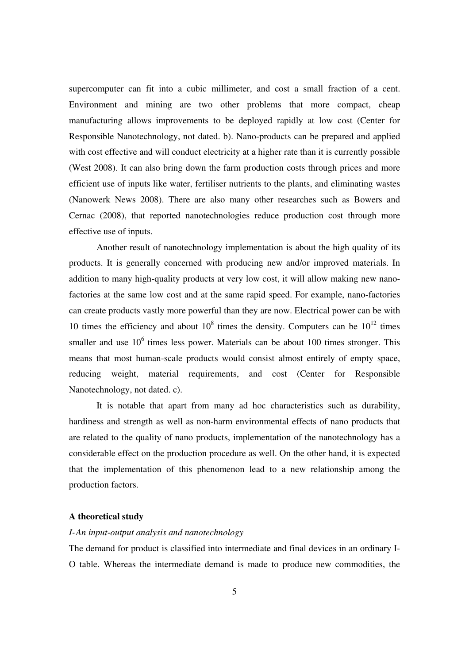supercomputer can fit into a cubic millimeter, and cost a small fraction of a cent. Environment and mining are two other problems that more compact, cheap manufacturing allows improvements to be deployed rapidly at low cost (Center for Responsible Nanotechnology, not dated. b). Nano-products can be prepared and applied with cost effective and will conduct electricity at a higher rate than it is currently possible (West 2008). It can also bring down the farm production costs through prices and more efficient use of inputs like water, fertiliser nutrients to the plants, and eliminating wastes (Nanowerk News 2008). There are also many other researches such as Bowers and Cernac (2008), that reported nanotechnologies reduce production cost through more effective use of inputs.

Another result of nanotechnology implementation is about the high quality of its products. It is generally concerned with producing new and/or improved materials. In addition to many high-quality products at very low cost, it will allow making new nanofactories at the same low cost and at the same rapid speed. For example, nano-factories can create products vastly more powerful than they are now. Electrical power can be with 10 times the efficiency and about  $10^8$  times the density. Computers can be  $10^{12}$  times smaller and use  $10<sup>6</sup>$  times less power. Materials can be about 100 times stronger. This means that most human-scale products would consist almost entirely of empty space, reducing weight, material requirements, and cost (Center for Responsible Nanotechnology, not dated. c).

It is notable that apart from many ad hoc characteristics such as durability, hardiness and strength as well as non-harm environmental effects of nano products that are related to the quality of nano products, implementation of the nanotechnology has a considerable effect on the production procedure as well. On the other hand, it is expected that the implementation of this phenomenon lead to a new relationship among the production factors.

### **A theoretical study**

# *I-An input-output analysis and nanotechnology*

The demand for product is classified into intermediate and final devices in an ordinary I-O table. Whereas the intermediate demand is made to produce new commodities, the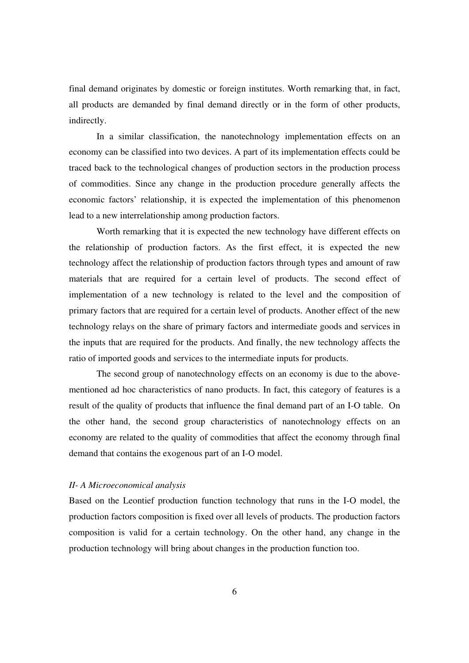final demand originates by domestic or foreign institutes. Worth remarking that, in fact, all products are demanded by final demand directly or in the form of other products, indirectly.

In a similar classification, the nanotechnology implementation effects on an economy can be classified into two devices. A part of its implementation effects could be traced back to the technological changes of production sectors in the production process of commodities. Since any change in the production procedure generally affects the economic factors' relationship, it is expected the implementation of this phenomenon lead to a new interrelationship among production factors.

Worth remarking that it is expected the new technology have different effects on the relationship of production factors. As the first effect, it is expected the new technology affect the relationship of production factors through types and amount of raw materials that are required for a certain level of products. The second effect of implementation of a new technology is related to the level and the composition of primary factors that are required for a certain level of products. Another effect of the new technology relays on the share of primary factors and intermediate goods and services in the inputs that are required for the products. And finally, the new technology affects the ratio of imported goods and services to the intermediate inputs for products.

The second group of nanotechnology effects on an economy is due to the abovementioned ad hoc characteristics of nano products. In fact, this category of features is a result of the quality of products that influence the final demand part of an I-O table. On the other hand, the second group characteristics of nanotechnology effects on an economy are related to the quality of commodities that affect the economy through final demand that contains the exogenous part of an I-O model.

# *II- A Microeconomical analysis*

Based on the Leontief production function technology that runs in the I-O model, the production factors composition is fixed over all levels of products. The production factors composition is valid for a certain technology. On the other hand, any change in the production technology will bring about changes in the production function too.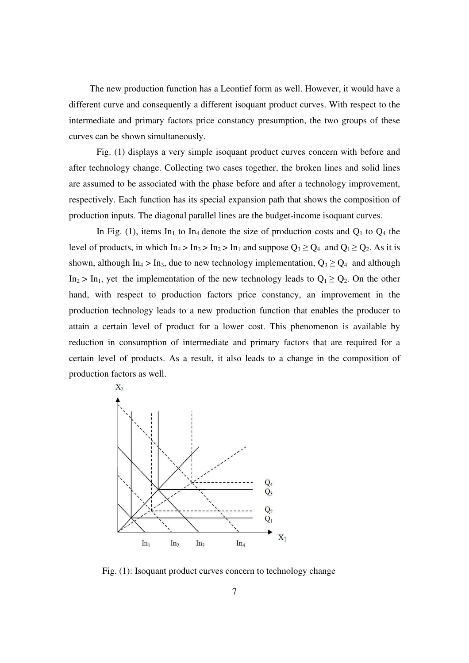The new production function has a Leontief form as well. However, it would have a different curve and consequently a different isoquant product curves. With respect to the intermediate and primary factors price constancy presumption, the two groups of these curves can be shown simultaneously.

Fig. (1) displays a very simple isoquant product curves concern with before and after technology change. Collecting two cases together, the broken lines and solid lines are assumed to be associated with the phase before and after a technology improvement, respectively. Each function has its special expansion path that shows the composition of production inputs. The diagonal parallel lines are the budget-income isoquant curves.

In Fig. (1), items In<sub>1</sub> to In<sub>4</sub> denote the size of production costs and  $Q_1$  to  $Q_4$  the level of products, in which In<sub>4</sub> > In<sub>3</sub> > In<sub>2</sub> > In<sub>1</sub> and suppose  $Q_3 \ge Q_4$  and  $Q_1 \ge Q_2$ . As it is shown, although In<sub>4</sub> > In<sub>3</sub>, due to new technology implementation,  $Q_3 \ge Q_4$  and although In<sub>2</sub> > In<sub>1</sub>, yet the implementation of the new technology leads to  $Q_1 \ge Q_2$ . On the other hand, with respect to production factors price constancy, an improvement in the production technology leads to a new production function that enables the producer to attain a certain level of product for a lower cost. This phenomenon is available by reduction in consumption of intermediate and primary factors that are required for a certain level of products. As a result, it also leads to a change in the composition of production factors as well.



Fig. (1): Isoquant product curves concern to technology change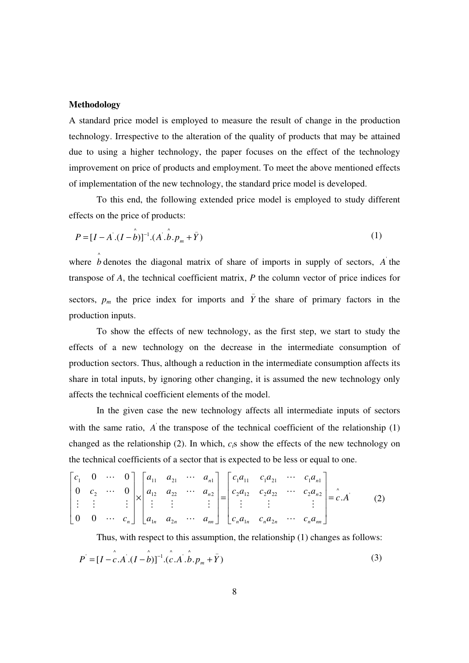# **Methodology**

A standard price model is employed to measure the result of change in the production technology. Irrespective to the alteration of the quality of products that may be attained due to using a higher technology, the paper focuses on the effect of the technology improvement on price of products and employment. To meet the above mentioned effects of implementation of the new technology, the standard price model is developed.

 To this end, the following extended price model is employed to study different effects on the price of products:

$$
P = [I - A^{'}.(I - \hat{b})]^{-1}.(A^{'}.\hat{b}.p_m + \bar{Y})
$$
\n(1)

where  $\hat{b}$  denotes the diagonal matrix of share of imports in supply of sectors,  $\vec{A}$  the transpose of *A*, the technical coefficient matrix, *P* the column vector of price indices for sectors,  $p_m$  the price index for imports and  $\bar{Y}$  the share of primary factors in the production inputs.

 To show the effects of new technology, as the first step, we start to study the effects of a new technology on the decrease in the intermediate consumption of production sectors. Thus, although a reduction in the intermediate consumption affects its share in total inputs, by ignoring other changing, it is assumed the new technology only affects the technical coefficient elements of the model.

In the given case the new technology affects all intermediate inputs of sectors with the same ratio,  $\vec{A}$  the transpose of the technical coefficient of the relationship (1) changed as the relationship (2). In which, *ci*s show the effects of the new technology on the technical coefficients of a sector that is expected to be less or equal to one.

$$
\begin{bmatrix} c_1 & 0 & \cdots & 0 \\ 0 & c_2 & \cdots & 0 \\ \vdots & \vdots & & \vdots \\ 0 & 0 & \cdots & c_n \end{bmatrix} \times \begin{bmatrix} a_{11} & a_{21} & \cdots & a_{n1} \\ a_{12} & a_{22} & \cdots & a_{n2} \\ \vdots & \vdots & & \vdots \\ a_{1n} & a_{2n} & \cdots & a_{nn} \end{bmatrix} = \begin{bmatrix} c_1 a_{11} & c_1 a_{21} & \cdots & c_1 a_{n1} \\ c_2 a_{12} & c_2 a_{22} & \cdots & c_2 a_{n2} \\ \vdots & & \vdots & & \vdots \\ c_n a_{1n} & c_n a_{2n} & \cdots & c_n a_{nn} \end{bmatrix} = \hat{c} \cdot A
$$
 (2)

 Thus, with respect to this assumption, the relationship (1) changes as follows:  $\lambda$ 

$$
P = [I - c.A.(I - b)]^{-1}.(c.A'.b.p_m + \bar{Y})
$$
\n(3)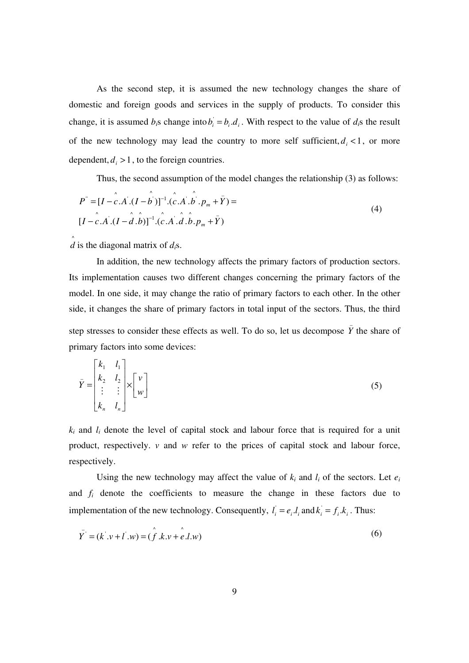As the second step, it is assumed the new technology changes the share of domestic and foreign goods and services in the supply of products. To consider this change, it is assumed  $b_i$ s change into  $b_i = b_i d_i$ . With respect to the value of  $d_i$ s the result of the new technology may lead the country to more self sufficient,  $d_i < 1$ , or more dependent,  $d_i > 1$ , to the foreign countries.

Thus, the second assumption of the model changes the relationship (3) as follows:

$$
P^{\dagger} = [I - c \cdot A \cdot (I - b \cdot \tilde{b})]^{-1} \cdot (c \cdot A \cdot b \cdot p_m + \bar{Y}) =
$$
  
\n
$$
[I - c \cdot A \cdot (I - d \cdot b)]^{-1} \cdot (c \cdot A \cdot \hat{d} \cdot b \cdot p_m + \bar{Y})
$$
\n(4)

 $\hat{d}$  is the diagonal matrix of  $d_i$ s.

In addition, the new technology affects the primary factors of production sectors. Its implementation causes two different changes concerning the primary factors of the model. In one side, it may change the ratio of primary factors to each other. In the other side, it changes the share of primary factors in total input of the sectors. Thus, the third step stresses to consider these effects as well. To do so, let us decompose  $\overline{Y}$  the share of primary factors into some devices:

$$
\bar{Y} = \begin{bmatrix} k_1 & l_1 \\ k_2 & l_2 \\ \vdots & \vdots \\ k_n & l_n \end{bmatrix} \times \begin{bmatrix} v \\ w \end{bmatrix}
$$
\n(5)

 $k_i$  and  $l_i$  denote the level of capital stock and labour force that is required for a unit product, respectively. *v* and *w* refer to the prices of capital stock and labour force, respectively.

Using the new technology may affect the value of  $k_i$  and  $l_i$  of the sectors. Let  $e_i$ and *fi* denote the coefficients to measure the change in these factors due to implementation of the new technology. Consequently,  $l_i = e_i, l_i$  and  $k_i = f_i, k_i$ . Thus:

$$
\overline{Y}' = (k' \cdot v + l' \cdot w) = (\hat{f} \cdot k \cdot v + e \cdot l \cdot w)
$$
 (6)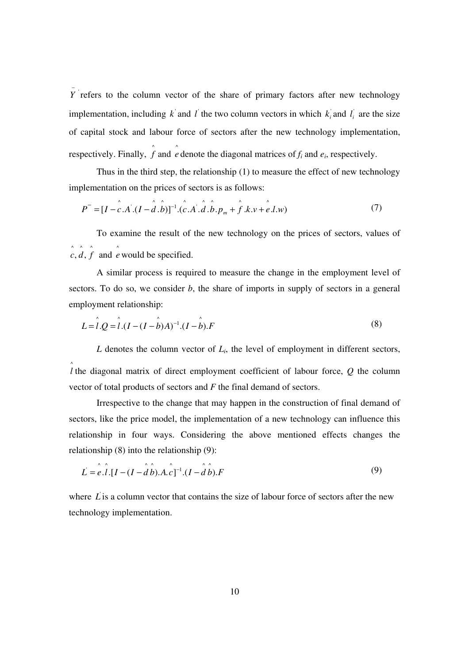*Y* refers to the column vector of the share of primary factors after new technology implementation, including  $k$  and  $l$  the two column vectors in which  $k_i$  and  $l_i$  are the size of capital stock and labour force of sectors after the new technology implementation, respectively. Finally,  $\int$  and  $\int$  denote the diagonal matrices of  $f_i$  and  $e_i$ , respectively.

−

 Thus in the third step, the relationship (1) to measure the effect of new technology implementation on the prices of sectors is as follows:

$$
P''' = [I - \hat{c} \cdot A \cdot (I - \hat{d} \cdot \hat{b})]^{-1} \cdot (\hat{c} \cdot A \cdot \hat{d} \cdot \hat{b} \cdot p_m + \hat{f} \cdot k \cdot v + \hat{e} \cdot l \cdot w)
$$
(7)

To examine the result of the new technology on the prices of sectors, values of  $\hat{c}, \hat{d}, \hat{f}$  and  $\hat{e}$  would be specified.

A similar process is required to measure the change in the employment level of sectors. To do so, we consider *b*, the share of imports in supply of sectors in a general employment relationship:

$$
L = \hat{l} \cdot Q = \hat{l} \cdot (I - (I - \hat{b})A)^{-1} \cdot (I - \hat{b}).F
$$
\n(8)

 $L$  denotes the column vector of  $L_i$ , the level of employment in different sectors, ^ *l* the diagonal matrix of direct employment coefficient of labour force, *Q* the column vector of total products of sectors and *F* the final demand of sectors.

Irrespective to the change that may happen in the construction of final demand of sectors, like the price model, the implementation of a new technology can influence this relationship in four ways. Considering the above mentioned effects changes the relationship (8) into the relationship (9):

$$
L = e \hat{I} \cdot [I - (I - \hat{d} \hat{b}) \cdot A \cdot c]^{-1} \cdot (I - \hat{d} \hat{b}) \cdot F
$$
 (9)

where  $\vec{L}$  is a column vector that contains the size of labour force of sectors after the new technology implementation.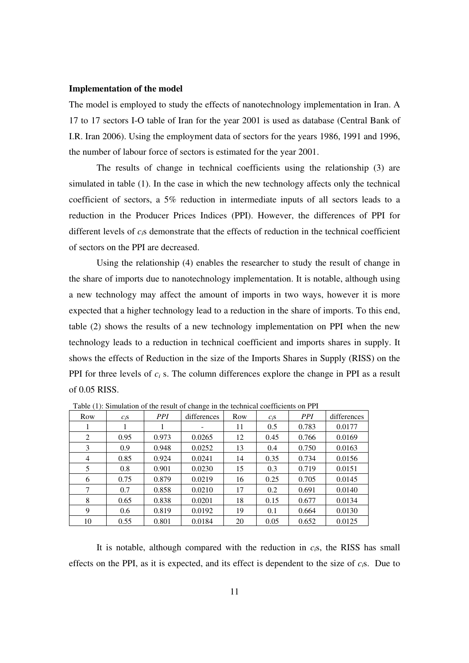#### **Implementation of the model**

The model is employed to study the effects of nanotechnology implementation in Iran. A 17 to 17 sectors I-O table of Iran for the year 2001 is used as database (Central Bank of I.R. Iran 2006). Using the employment data of sectors for the years 1986, 1991 and 1996, the number of labour force of sectors is estimated for the year 2001.

 The results of change in technical coefficients using the relationship (3) are simulated in table (1). In the case in which the new technology affects only the technical coefficient of sectors, a 5% reduction in intermediate inputs of all sectors leads to a reduction in the Producer Prices Indices (PPI). However, the differences of PPI for different levels of *ci*s demonstrate that the effects of reduction in the technical coefficient of sectors on the PPI are decreased.

 Using the relationship (4) enables the researcher to study the result of change in the share of imports due to nanotechnology implementation. It is notable, although using a new technology may affect the amount of imports in two ways, however it is more expected that a higher technology lead to a reduction in the share of imports. To this end, table (2) shows the results of a new technology implementation on PPI when the new technology leads to a reduction in technical coefficient and imports shares in supply. It shows the effects of Reduction in the size of the Imports Shares in Supply (RISS) on the PPI for three levels of  $c_i$  s. The column differences explore the change in PPI as a result of 0.05 RISS.

| Row            | $c_i$ s | <i>PPI</i> | differences | Row | $C_iS$ | <b>PPI</b> | differences |
|----------------|---------|------------|-------------|-----|--------|------------|-------------|
| 1              | 1       |            | -           | 11  | 0.5    | 0.783      | 0.0177      |
| 2              | 0.95    | 0.973      | 0.0265      | 12  | 0.45   | 0.766      | 0.0169      |
| 3              | 0.9     | 0.948      | 0.0252      | 13  | 0.4    | 0.750      | 0.0163      |
| $\overline{4}$ | 0.85    | 0.924      | 0.0241      | 14  | 0.35   | 0.734      | 0.0156      |
| 5              | 0.8     | 0.901      | 0.0230      | 15  | 0.3    | 0.719      | 0.0151      |
| 6              | 0.75    | 0.879      | 0.0219      | 16  | 0.25   | 0.705      | 0.0145      |
| 7              | 0.7     | 0.858      | 0.0210      | 17  | 0.2    | 0.691      | 0.0140      |
| 8              | 0.65    | 0.838      | 0.0201      | 18  | 0.15   | 0.677      | 0.0134      |
| 9              | 0.6     | 0.819      | 0.0192      | 19  | 0.1    | 0.664      | 0.0130      |
| 10             | 0.55    | 0.801      | 0.0184      | 20  | 0.05   | 0.652      | 0.0125      |

Table (1): Simulation of the result of change in the technical coefficients on PPI

 It is notable, although compared with the reduction in *ci*s, the RISS has small effects on the PPI, as it is expected, and its effect is dependent to the size of *ci*s. Due to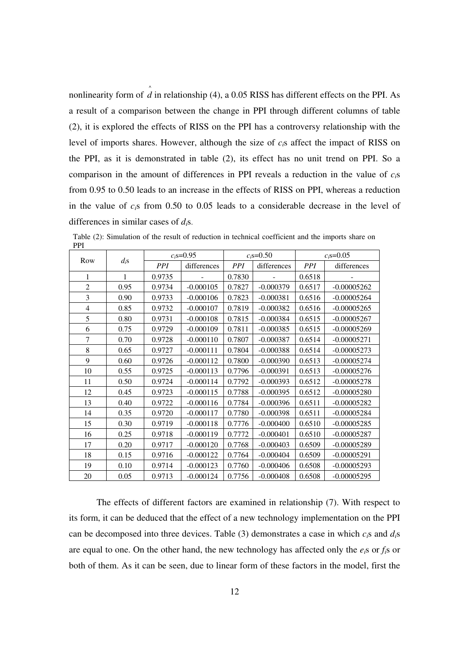nonlinearity form of  $\hat{d}$  in relationship (4), a 0.05 RISS has different effects on the PPI. As a result of a comparison between the change in PPI through different columns of table (2), it is explored the effects of RISS on the PPI has a controversy relationship with the level of imports shares. However, although the size of *ci*s affect the impact of RISS on the PPI, as it is demonstrated in table (2), its effect has no unit trend on PPI. So a comparison in the amount of differences in PPI reveals a reduction in the value of *ci*s from 0.95 to 0.50 leads to an increase in the effects of RISS on PPI, whereas a reduction in the value of *ci*s from 0.50 to 0.05 leads to a considerable decrease in the level of differences in similar cases of *di*s.

| Row            | $d_i$ s      | $c_i$ s=0.95 |             | $c_i$ s=0.50    |             | $c_i$ s=0.05 |               |
|----------------|--------------|--------------|-------------|-----------------|-------------|--------------|---------------|
|                |              | <i>PPI</i>   | differences | PPI <sup></sup> | differences | <i>PPI</i>   | differences   |
| $\mathbf{1}$   | $\mathbf{1}$ | 0.9735       |             | 0.7830          |             | 0.6518       |               |
| $\overline{2}$ | 0.95         | 0.9734       | $-0.000105$ | 0.7827          | $-0.000379$ | 0.6517       | $-0.00005262$ |
| 3              | 0.90         | 0.9733       | $-0.000106$ | 0.7823          | $-0.000381$ | 0.6516       | $-0.00005264$ |
| $\overline{4}$ | 0.85         | 0.9732       | $-0.000107$ | 0.7819          | $-0.000382$ | 0.6516       | $-0.00005265$ |
| 5              | 0.80         | 0.9731       | $-0.000108$ | 0.7815          | $-0.000384$ | 0.6515       | $-0.00005267$ |
| 6              | 0.75         | 0.9729       | $-0.000109$ | 0.7811          | $-0.000385$ | 0.6515       | $-0.00005269$ |
| 7              | 0.70         | 0.9728       | $-0.000110$ | 0.7807          | $-0.000387$ | 0.6514       | $-0.00005271$ |
| 8              | 0.65         | 0.9727       | $-0.000111$ | 0.7804          | $-0.000388$ | 0.6514       | $-0.00005273$ |
| 9              | 0.60         | 0.9726       | $-0.000112$ | 0.7800          | $-0.000390$ | 0.6513       | $-0.00005274$ |
| 10             | 0.55         | 0.9725       | $-0.000113$ | 0.7796          | $-0.000391$ | 0.6513       | $-0.00005276$ |
| 11             | 0.50         | 0.9724       | $-0.000114$ | 0.7792          | $-0.000393$ | 0.6512       | $-0.00005278$ |
| 12             | 0.45         | 0.9723       | $-0.000115$ | 0.7788          | $-0.000395$ | 0.6512       | $-0.00005280$ |
| 13             | 0.40         | 0.9722       | $-0.000116$ | 0.7784          | $-0.000396$ | 0.6511       | $-0.00005282$ |
| 14             | 0.35         | 0.9720       | $-0.000117$ | 0.7780          | $-0.000398$ | 0.6511       | $-0.00005284$ |
| 15             | 0.30         | 0.9719       | $-0.000118$ | 0.7776          | $-0.000400$ | 0.6510       | $-0.00005285$ |
| 16             | 0.25         | 0.9718       | $-0.000119$ | 0.7772          | $-0.000401$ | 0.6510       | $-0.00005287$ |
| 17             | 0.20         | 0.9717       | $-0.000120$ | 0.7768          | $-0.000403$ | 0.6509       | $-0.00005289$ |
| 18             | 0.15         | 0.9716       | $-0.000122$ | 0.7764          | $-0.000404$ | 0.6509       | $-0.00005291$ |
| 19             | 0.10         | 0.9714       | $-0.000123$ | 0.7760          | $-0.000406$ | 0.6508       | $-0.00005293$ |
| 20             | 0.05         | 0.9713       | $-0.000124$ | 0.7756          | $-0.000408$ | 0.6508       | $-0.00005295$ |

Table (2): Simulation of the result of reduction in technical coefficient and the imports share on PPI

The effects of different factors are examined in relationship (7). With respect to its form, it can be deduced that the effect of a new technology implementation on the PPI can be decomposed into three devices. Table (3) demonstrates a case in which *ci*s and *di*s are equal to one. On the other hand, the new technology has affected only the *ei*s or *fi*s or both of them. As it can be seen, due to linear form of these factors in the model, first the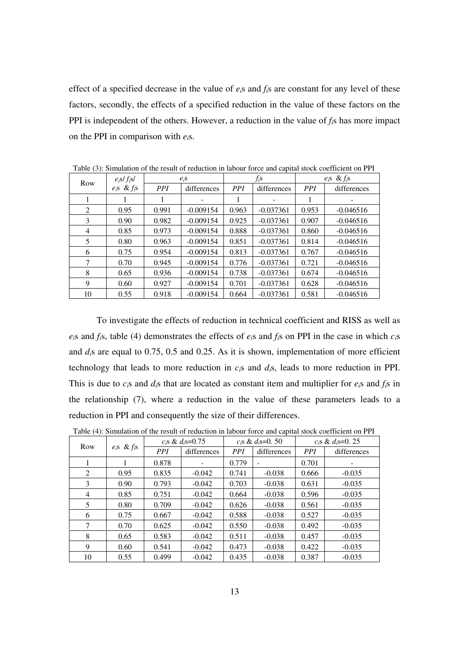effect of a specified decrease in the value of *ei*s and *fi*s are constant for any level of these factors, secondly, the effects of a specified reduction in the value of these factors on the PPI is independent of the others. However, a reduction in the value of *fi*s has more impact on the PPI in comparison with *ei*s.

| -- ( <i>- )</i> - |                   |         |             |            |             |                   |             |
|-------------------|-------------------|---------|-------------|------------|-------------|-------------------|-------------|
| Row               | $e_i$ s/ $f_i$ s/ | $e_i$ s |             | $f_i$ s    |             | $e_i$ s & $f_i$ s |             |
|                   | $e_i$ s & $f_i$ s | PPI     | differences | <i>PPI</i> | differences | <b>PPI</b>        | differences |
|                   |                   | 1       |             | 1          |             | 1                 |             |
| 2                 | 0.95              | 0.991   | $-0.009154$ | 0.963      | $-0.037361$ | 0.953             | $-0.046516$ |
| 3                 | 0.90              | 0.982   | $-0.009154$ | 0.925      | $-0.037361$ | 0.907             | $-0.046516$ |
| 4                 | 0.85              | 0.973   | $-0.009154$ | 0.888      | $-0.037361$ | 0.860             | $-0.046516$ |
| 5                 | 0.80              | 0.963   | $-0.009154$ | 0.851      | $-0.037361$ | 0.814             | $-0.046516$ |
| 6                 | 0.75              | 0.954   | $-0.009154$ | 0.813      | $-0.037361$ | 0.767             | $-0.046516$ |
| 7                 | 0.70              | 0.945   | $-0.009154$ | 0.776      | $-0.037361$ | 0.721             | $-0.046516$ |
| 8                 | 0.65              | 0.936   | $-0.009154$ | 0.738      | $-0.037361$ | 0.674             | $-0.046516$ |
| 9                 | 0.60              | 0.927   | $-0.009154$ | 0.701      | $-0.037361$ | 0.628             | $-0.046516$ |
| 10                | 0.55              | 0.918   | $-0.009154$ | 0.664      | $-0.037361$ | 0.581             | $-0.046516$ |

Table (3): Simulation of the result of reduction in labour force and capital stock coefficient on PPI

To investigate the effects of reduction in technical coefficient and RISS as well as  $e_i$ s and  $f_i$ s, table (4) demonstrates the effects of  $e_i$ s and  $f_i$ s on PPI in the case in which  $c_i$ s and *di*s are equal to 0.75, 0.5 and 0.25. As it is shown, implementation of more efficient technology that leads to more reduction in *ci*s and *di*s, leads to more reduction in PPI. This is due to  $c_i$ s and  $d_i$ s that are located as constant item and multiplier for  $e_i$ s and  $f_i$ s in the relationship (7), where a reduction in the value of these parameters leads to a reduction in PPI and consequently the size of their differences.

Table (4): Simulation of the result of reduction in labour force and capital stock coefficient on PPI

| Row | $e_i$ s & $f_i$ s | $c_i$ s & d <sub>i</sub> s=0.75 |             | $c_i$ s & $d_i$ s=0. 50 |             | $c_i$ s & d <sub>i</sub> s=0, 25 |             |
|-----|-------------------|---------------------------------|-------------|-------------------------|-------------|----------------------------------|-------------|
|     |                   | <b>PPI</b>                      | differences | <b>PPI</b>              | differences | <b>PPI</b>                       | differences |
| 1   |                   | 0.878                           |             | 0.779                   |             | 0.701                            |             |
| 2   | 0.95              | 0.835                           | $-0.042$    | 0.741                   | $-0.038$    | 0.666                            | $-0.035$    |
| 3   | 0.90              | 0.793                           | $-0.042$    | 0.703                   | $-0.038$    | 0.631                            | $-0.035$    |
| 4   | 0.85              | 0.751                           | $-0.042$    | 0.664                   | $-0.038$    | 0.596                            | $-0.035$    |
| 5   | 0.80              | 0.709                           | $-0.042$    | 0.626                   | $-0.038$    | 0.561                            | $-0.035$    |
| 6   | 0.75              | 0.667                           | $-0.042$    | 0.588                   | $-0.038$    | 0.527                            | $-0.035$    |
| 7   | 0.70              | 0.625                           | $-0.042$    | 0.550                   | $-0.038$    | 0.492                            | $-0.035$    |
| 8   | 0.65              | 0.583                           | $-0.042$    | 0.511                   | $-0.038$    | 0.457                            | $-0.035$    |
| 9   | 0.60              | 0.541                           | $-0.042$    | 0.473                   | $-0.038$    | 0.422                            | $-0.035$    |
| 10  | 0.55              | 0.499                           | $-0.042$    | 0.435                   | $-0.038$    | 0.387                            | $-0.035$    |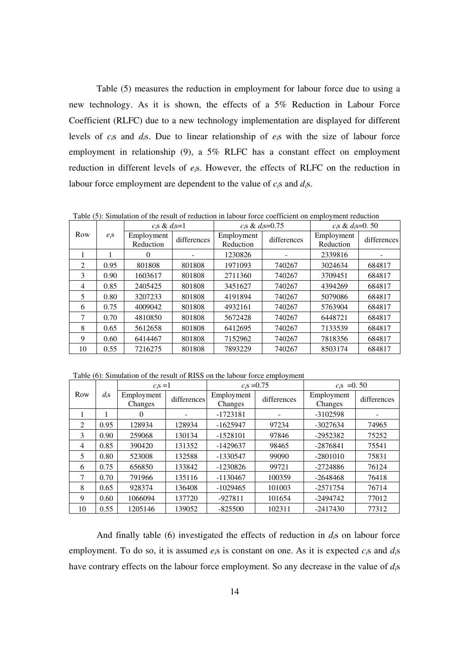Table (5) measures the reduction in employment for labour force due to using a new technology. As it is shown, the effects of a 5% Reduction in Labour Force Coefficient (RLFC) due to a new technology implementation are displayed for different levels of *ci*s and *di*s. Due to linear relationship of *ei*s with the size of labour force employment in relationship (9), a 5% RLFC has a constant effect on employment reduction in different levels of *ei*s. However, the effects of RLFC on the reduction in labour force employment are dependent to the value of *ci*s and *di*s.

Table (5): Simulation of the result of reduction in labour force coefficient on employment reduction

|     |         | $c_i$ s & $d_i$ s=1     |             | $c_i$ s & $d_i$ s=0.75  |             | $c_i$ s & $d_i$ s=0. 50 |             |  |
|-----|---------|-------------------------|-------------|-------------------------|-------------|-------------------------|-------------|--|
| Row | $e_i$ s | Employment<br>Reduction | differences | Employment<br>Reduction | differences | Employment<br>Reduction | differences |  |
|     |         | 0                       |             | 1230826                 |             | 2339816                 |             |  |
| 2   | 0.95    | 801808                  | 801808      | 1971093                 | 740267      | 3024634                 | 684817      |  |
| 3   | 0.90    | 1603617                 | 801808      | 2711360                 | 740267      | 3709451                 | 684817      |  |
| 4   | 0.85    | 2405425                 | 801808      | 3451627                 | 740267      | 4394269                 | 684817      |  |
| 5   | 0.80    | 3207233                 | 801808      | 4191894                 | 740267      | 5079086                 | 684817      |  |
| 6   | 0.75    | 4009042                 | 801808      | 4932161                 | 740267      | 5763904                 | 684817      |  |
| 7   | 0.70    | 4810850                 | 801808      | 5672428                 | 740267      | 6448721                 | 684817      |  |
| 8   | 0.65    | 5612658                 | 801808      | 6412695                 | 740267      | 7133539                 | 684817      |  |
| 9   | 0.60    | 6414467                 | 801808      | 7152962                 | 740267      | 7818356                 | 684817      |  |
| 10  | 0.55    | 7216275                 | 801808      | 7893229                 | 740267      | 8503174                 | 684817      |  |

Table (6): Simulation of the result of RISS on the labour force employment

|                |         | $c_i$ s = 1           |             | $c_i$ s =0.75         |             | $c_i$ s = 0.50        |             |  |
|----------------|---------|-----------------------|-------------|-----------------------|-------------|-----------------------|-------------|--|
| Row            | $d_i$ s | Employment<br>Changes | differences | Employment<br>Changes | differences | Employment<br>Changes | differences |  |
|                |         | 0                     |             | $-1723181$            |             | $-3102598$            |             |  |
| 2              | 0.95    | 128934                | 128934      | $-1625947$            | 97234       | $-3027634$            | 74965       |  |
| $\mathcal{E}$  | 0.90    | 259068                | 130134      | $-1528101$            | 97846       | $-2952382$            | 75252       |  |
| $\overline{4}$ | 0.85    | 390420                | 131352      | $-1429637$            | 98465       | $-2876841$            | 75541       |  |
| 5              | 0.80    | 523008                | 132588      | $-1330547$            | 99090       | $-2801010$            | 75831       |  |
| 6              | 0.75    | 656850                | 133842      | $-1230826$            | 99721       | $-2724886$            | 76124       |  |
| 7              | 0.70    | 791966                | 135116      | $-1130467$            | 100359      | $-2648468$            | 76418       |  |
| 8              | 0.65    | 928374                | 136408      | $-1029465$            | 101003      | $-2571754$            | 76714       |  |
| 9              | 0.60    | 1066094               | 137720      | $-927811$             | 101654      | $-2494742$            | 77012       |  |
| 10             | 0.55    | 1205146               | 139052      | $-825500$             | 102311      | $-2417430$            | 77312       |  |

And finally table (6) investigated the effects of reduction in  $d_i$ s on labour force employment. To do so, it is assumed *ei*s is constant on one. As it is expected *ci*s and *di*s have contrary effects on the labour force employment. So any decrease in the value of *di*s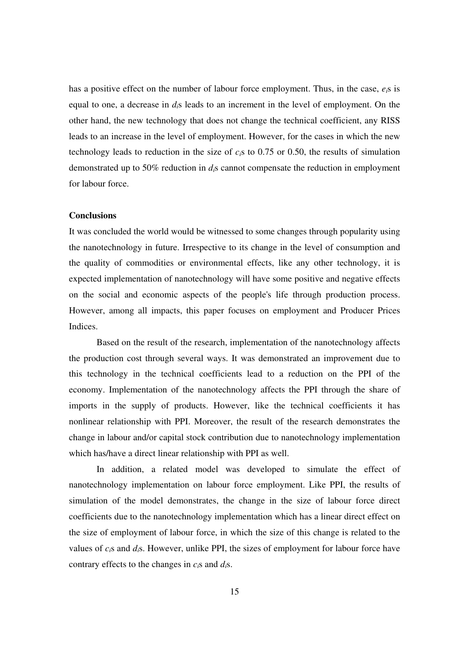has a positive effect on the number of labour force employment. Thus, in the case, *ei*s is equal to one, a decrease in *di*s leads to an increment in the level of employment. On the other hand, the new technology that does not change the technical coefficient, any RISS leads to an increase in the level of employment. However, for the cases in which the new technology leads to reduction in the size of *ci*s to 0.75 or 0.50, the results of simulation demonstrated up to 50% reduction in *di*s cannot compensate the reduction in employment for labour force.

## **Conclusions**

It was concluded the world would be witnessed to some changes through popularity using the nanotechnology in future. Irrespective to its change in the level of consumption and the quality of commodities or environmental effects, like any other technology, it is expected implementation of nanotechnology will have some positive and negative effects on the social and economic aspects of the people's life through production process. However, among all impacts, this paper focuses on employment and Producer Prices Indices.

 Based on the result of the research, implementation of the nanotechnology affects the production cost through several ways. It was demonstrated an improvement due to this technology in the technical coefficients lead to a reduction on the PPI of the economy. Implementation of the nanotechnology affects the PPI through the share of imports in the supply of products. However, like the technical coefficients it has nonlinear relationship with PPI. Moreover, the result of the research demonstrates the change in labour and/or capital stock contribution due to nanotechnology implementation which has/have a direct linear relationship with PPI as well.

 In addition, a related model was developed to simulate the effect of nanotechnology implementation on labour force employment. Like PPI, the results of simulation of the model demonstrates, the change in the size of labour force direct coefficients due to the nanotechnology implementation which has a linear direct effect on the size of employment of labour force, in which the size of this change is related to the values of *ci*s and *di*s. However, unlike PPI, the sizes of employment for labour force have contrary effects to the changes in *ci*s and *di*s.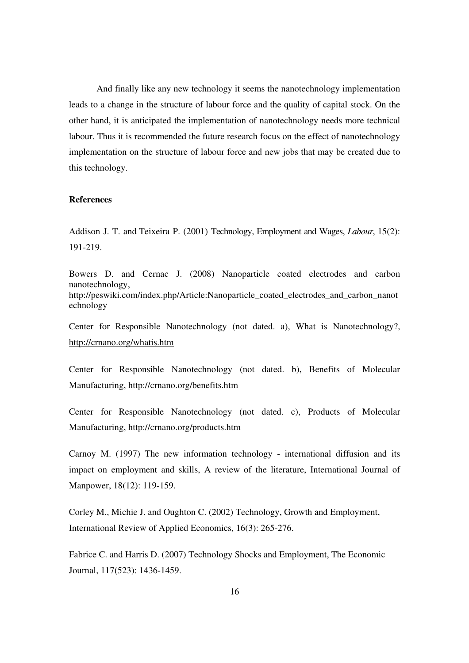And finally like any new technology it seems the nanotechnology implementation leads to a change in the structure of labour force and the quality of capital stock. On the other hand, it is anticipated the implementation of nanotechnology needs more technical labour. Thus it is recommended the future research focus on the effect of nanotechnology implementation on the structure of labour force and new jobs that may be created due to this technology.

# **References**

Addison J. T. and Teixeira P. (2001) Technology, Employment and Wages, *Labour*, 15(2): 191-219.

Bowers D. and Cernac J. (2008) Nanoparticle coated electrodes and carbon nanotechnology, http://peswiki.com/index.php/Article:Nanoparticle\_coated\_electrodes\_and\_carbon\_nanot echnology

Center for Responsible Nanotechnology (not dated. a), What is Nanotechnology?, http://crnano.org/whatis.htm

Center for Responsible Nanotechnology (not dated. b), Benefits of Molecular Manufacturing, http://crnano.org/benefits.htm

Center for Responsible Nanotechnology (not dated. c), Products of Molecular Manufacturing, http://crnano.org/products.htm

Carnoy M. (1997) The new information technology - international diffusion and its impact on employment and skills, A review of the literature, International Journal of Manpower, 18(12): 119-159.

Corley M., Michie J. and Oughton C. (2002) Technology, Growth and Employment, International Review of Applied Economics, 16(3): 265-276.

Fabrice C. and Harris D. (2007) Technology Shocks and Employment, The Economic Journal, 117(523): 1436-1459.